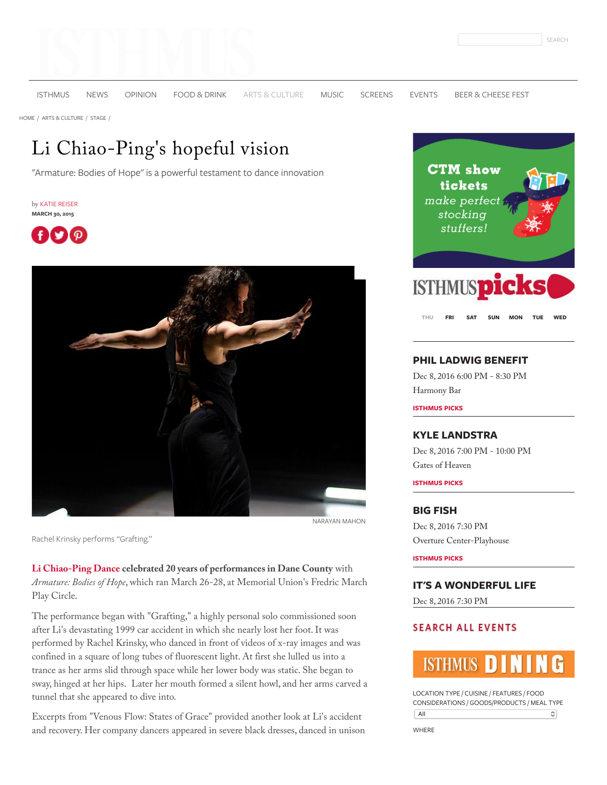

[ISTHMUS](http://isthmus.com/) [NEWS](http://isthmus.com/news) [OPINION](http://isthmus.com/opinion) [FOOD & DRINK](http://isthmus.com/food-drink) [ARTS & CULTURE](http://isthmus.com/arts) [MUSIC](http://isthmus.com/music) [SCREENS](http://isthmus.com/screens) [EVENTS](http://isthmus.com/all-events/calendar-of-events-index) [BEER & CHEESE FEST](http://bit.ly/2gcfLDi)

[HOME /](http://isthmus.com/) [ARTS & CULTURE /](http://isthmus.com/arts) [STAGE /](http://isthmus.com/arts/stage)

# Li Chiao-Ping's hopeful vision

"Armature: Bodies of Hope" is a powerful testament to dance innovation

by [KATIE REISER](http://isthmus.com/topics/katie-reiser/) **MARCH 30, 2015**





Rachel Krinsky performs "Grafting."

**[Li Chiao-Ping Dance](http://lcpdance.org/) celebrated 20 years of performances in Dane County** with *Armature: Bodies of Hope*, which ran March 26-28, at Memorial Union's Fredric March Play Circle.

The performance began with "Grafting," a highly personal solo commissioned soon after Li's devastating 1999 car accident in which she nearly lost her foot. It was performed by Rachel Krinsky, who danced in front of videos of x-ray images and was confined in a square of long tubes of fluorescent light. At first she lulled us into a trance as her arms slid through space while her lower body was static. She began to sway, hinged at her hips. Later her mouth formed a silent howl, and her arms carved a tunnel that she appeared to dive into.

Excerpts from "Venous Flow: States of Grace" provided another look at Li's accident and recovery. Her company dancers appeared in severe black dresses, danced in unison



**[THU](javascript:void(null);) [FRI](javascript:void(null);) [SAT](javascript:void(null);) [SUN](javascript:void(null);) [MON](javascript:void(null);) [TUE](javascript:void(null);) [WED](javascript:void(null);)**

### **[PHIL LADWIG BENEFIT](http://isthmus.com/events/chuck-bayuk-tony-kannen-kristy-larson/)**

Dec 8, 2016 6:00 PM - 8:30 PM [Harmony Bar](http://isthmus.com/locations/harmony-bar/)

**ISTHMUS PICKS**

### **[KYLE LANDSTRA](http://isthmus.com/events/kyle-landstra-page-campbell/)**

Dec 8, 2016 7:00 PM - 10:00 PM [Gates of Heaven](http://isthmus.com/locations/gates-of-heaven/)

**ISTHMUS PICKS**

#### **[BIG FISH](http://isthmus.com/events/big-fish-four-seasons/)**

Dec 8, 2016 7:30 PM [Overture Center-Playhouse](http://isthmus.com/locations/overture-center-playhouse/)

**ISTHMUS PICKS**

**[IT'S A WONDERFUL LIFE](http://isthmus.com/events/its-a-wonderful-life/)**

Dec 8, 2016 7:30 PM

# **SEARCH ALL EVENTS**

LOCATION TYPE / CUISINE / FEATURES / FOOD CONSIDERATIONS / GOODS/PRODUCTS / MEAL TYPE  $\sqrt{All}$  $\boldsymbol{\hat{\cdot}}$ 

WHERE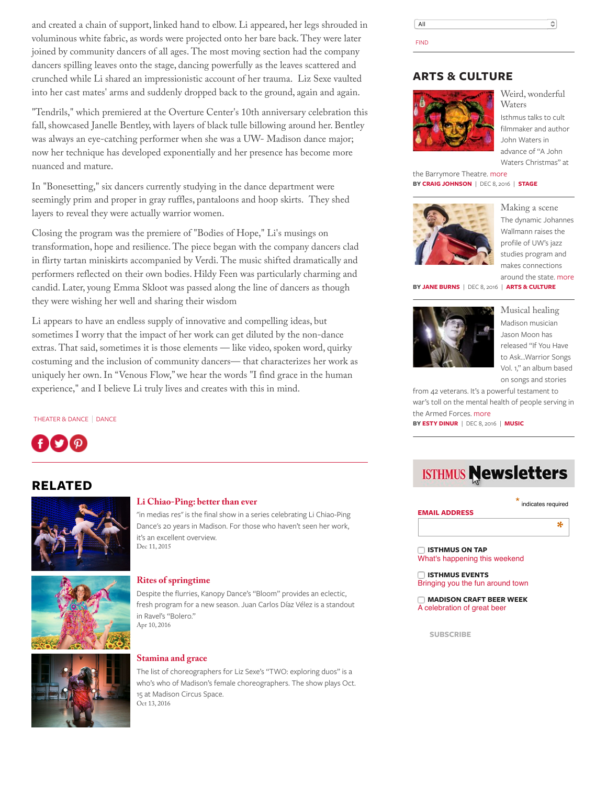and created a chain of support, linked hand to elbow. Li appeared, her legs shrouded in voluminous white fabric, as words were projected onto her bare back. They were later joined by community dancers of all ages. The most moving section had the company dancers spilling leaves onto the stage, dancing powerfully as the leaves scattered and crunched while Li shared an impressionistic account of her trauma. Liz Sexe vaulted into her cast mates' arms and suddenly dropped back to the ground, again and again.

"Tendrils," which premiered at the Overture Center's 10th anniversary celebration this fall, showcased Janelle Bentley, with layers of black tulle billowing around her. Bentley was always an eye-catching performer when she was a UW- Madison dance major; now her technique has developed exponentially and her presence has become more nuanced and mature.

In "Bonesetting," six dancers currently studying in the dance department were seemingly prim and proper in gray ruffles, pantaloons and hoop skirts. They shed layers to reveal they were actually warrior women.

Closing the program was the premiere of "Bodies of Hope," Li's musings on transformation, hope and resilience. The piece began with the company dancers clad in flirty tartan miniskirts accompanied by Verdi. The music shifted dramatically and performers reflected on their own bodies. Hildy Feen was particularly charming and candid. Later, young Emma Skloot was passed along the line of dancers as though they were wishing her well and sharing their wisdom

Li appears to have an endless supply of innovative and compelling ideas, but sometimes I worry that the impact of her work can get diluted by the non-dance extras. That said, sometimes it is those elements — like video, spoken word, quirky costuming and the inclusion of community dancers— that characterizes her work as uniquely her own. In "Venous Flow," we hear the words "I find grace in the human experience," and I believe Li truly lives and creates with this in mind.

[THEATER & DANCE](http://isthmus.com/topics/Theater-and-Dance/) | [DANCE](http://isthmus.com/topics/dance/)



# **RELATED**



### **[Li Chiao-Ping: better than ever](http://isthmus.com/arts/stage/li-chiao-ping-en-medias-res/)**

"in medias res" is the final show in a series celebrating Li Chiao-Ping Dance's 20 years in Madison. For those who haven't seen her work, it's an excellent overview. Dec 11, 2015



#### **[Rites of springtime](http://isthmus.com/arts/stage/kanopy-bloom-rites-of-spring/)**

Despite the flurries, Kanopy Dance's "Bloom" provides an eclectic, fresh program for a new season. Juan Carlos Díaz Vélez is a standout in Ravel's "Bolero." Apr 10, 2016



### **[Stamina and grace](http://isthmus.com/arts/stage/liz-sexe-dance-duos-exploring-duets/)**

The list of choreographers for Liz Sexe's "TWO: exploring duos" is a who's who of Madison's female choreographers. The show plays Oct. 15 at Madison Circus Space. Oct 13, 2016

All  $\hat{\cdot}$ FIND

## **ARTS & CULTURE**



[Weird, wonderful](http://isthmus.com/arts/stage/john-waters-christmas-barrymore/) Waters Isthmus talks to cult filmmaker and author John Waters in advance of "A John Waters Christmas" at

the Barrymore Theatre. [more](http://isthmus.com/arts/stage/john-waters-christmas-barrymore/) **BY [CRAIG JOHNSON](http://isthmus.com/topics/craig-johnson/)** | DEC 8, 2016 | **[STAGE](http://isthmus.com/arts/stage)**



[Making a scene](http://isthmus.com/arts/johannes-wallmann-spreads-the-gospel-of-jazz/) The dynamic Johannes Wallmann raises the profile of UW's jazz studies program and makes connections around the state. [more](http://isthmus.com/arts/johannes-wallmann-spreads-the-gospel-of-jazz/)

**BY [JANE BURNS](http://isthmus.com/topics/jane-burns/)** | DEC 8, 2016 | **[ARTS & CULTURE](http://isthmus.com/arts)**



[Musical healing](http://isthmus.com/music/jason-moon-warrior-songs-veterans/) Madison musician Jason Moon has released "If You Have to Ask...Warrior Songs Vol. 1," an album based on songs and stories

from 42 veterans. It's a powerful testament to war's toll on the mental health of people serving in the Armed Forces. [more](http://isthmus.com/music/jason-moon-warrior-songs-veterans/) **BY [ESTY DINUR](http://isthmus.com/topics/esty-dinur/)** | DEC 8, 2016 | **[MUSIC](http://isthmus.com/music)**

# **ISTHMUS Newsletters**





 **ISTHMUS ON TAP** What's happening this weekend

 **ISTHMUS EVENTS** Bringing you the fun around town

 **MADISON CRAFT BEER WEEK** A celebration of great beer

**SUBSCRIBE**